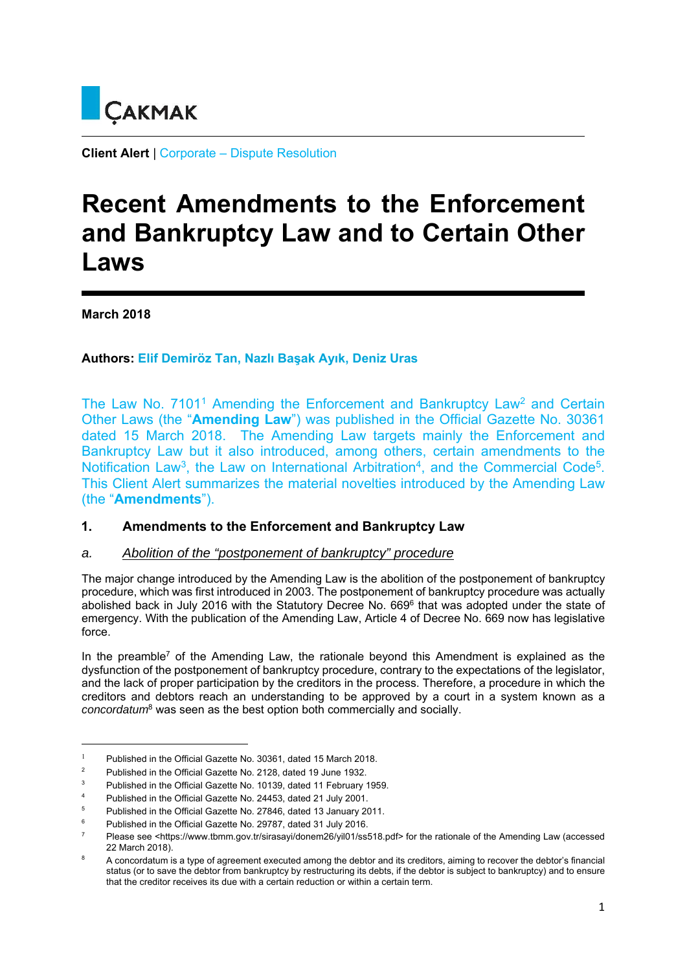

**Client Alert** | Corporate – Dispute Resolution

# **Recent Amendments to the Enforcement and Bankruptcy Law and to Certain Other Laws**

**March 2018** 

**Authors: Elif Demiröz Tan, Nazlı Başak Ayık, Deniz Uras**

The Law No. 7101<sup>1</sup> Amending the Enforcement and Bankruptcy Law<sup>2</sup> and Certain Other Laws (the "**Amending Law**") was published in the Official Gazette No. 30361 dated 15 March 2018. The Amending Law targets mainly the Enforcement and Bankruptcy Law but it also introduced, among others, certain amendments to the Notification Law<sup>3</sup>, the Law on International Arbitration<sup>4</sup>, and the Commercial Code<sup>5</sup>. This Client Alert summarizes the material novelties introduced by the Amending Law (the "**Amendments**").

## **1. Amendments to the Enforcement and Bankruptcy Law**

## *a. Abolition of the "postponement of bankruptcy" procedure*

The major change introduced by the Amending Law is the abolition of the postponement of bankruptcy procedure, which was first introduced in 2003. The postponement of bankruptcy procedure was actually abolished back in July 2016 with the Statutory Decree No. 669<sup>6</sup> that was adopted under the state of emergency. With the publication of the Amending Law, Article 4 of Decree No. 669 now has legislative force.

In the preamble<sup>7</sup> of the Amending Law, the rationale beyond this Amendment is explained as the dysfunction of the postponement of bankruptcy procedure, contrary to the expectations of the legislator, and the lack of proper participation by the creditors in the process. Therefore, a procedure in which the creditors and debtors reach an understanding to be approved by a court in a system known as a *concordatum*8 was seen as the best option both commercially and socially.

<sup>&</sup>lt;sup>1</sup> Published in the Official Gazette No. 30361, dated 15 March 2018.

<sup>2</sup> Published in the Official Gazette No. 2128, dated 19 June 1932.

<sup>3</sup> Published in the Official Gazette No. 10139, dated 11 February 1959.

<sup>4</sup> Published in the Official Gazette No. 24453, dated 21 July 2001.

<sup>5</sup> Published in the Official Gazette No. 27846, dated 13 January 2011.

<sup>6</sup> Published in the Official Gazette No. 29787, dated 31 July 2016.

<sup>7</sup> Please see <https://www.tbmm.gov.tr/sirasayi/donem26/yil01/ss518.pdf> for the rationale of the Amending Law (accessed 22 March 2018).

<sup>8</sup> A concordatum is a type of agreement executed among the debtor and its creditors, aiming to recover the debtor's financial status (or to save the debtor from bankruptcy by restructuring its debts, if the debtor is subject to bankruptcy) and to ensure that the creditor receives its due with a certain reduction or within a certain term.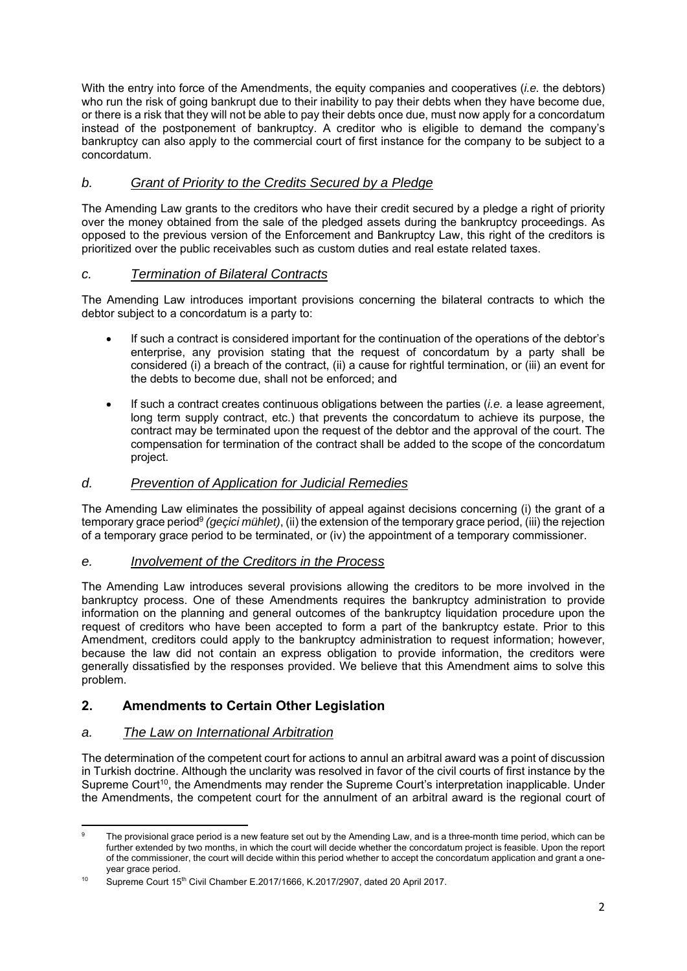With the entry into force of the Amendments, the equity companies and cooperatives (*i.e.* the debtors) who run the risk of going bankrupt due to their inability to pay their debts when they have become due, or there is a risk that they will not be able to pay their debts once due, must now apply for a concordatum instead of the postponement of bankruptcy. A creditor who is eligible to demand the company's bankruptcy can also apply to the commercial court of first instance for the company to be subject to a concordatum.

## *b. Grant of Priority to the Credits Secured by a Pledge*

The Amending Law grants to the creditors who have their credit secured by a pledge a right of priority over the money obtained from the sale of the pledged assets during the bankruptcy proceedings. As opposed to the previous version of the Enforcement and Bankruptcy Law, this right of the creditors is prioritized over the public receivables such as custom duties and real estate related taxes.

## *c. Termination of Bilateral Contracts*

The Amending Law introduces important provisions concerning the bilateral contracts to which the debtor subject to a concordatum is a party to:

- If such a contract is considered important for the continuation of the operations of the debtor's enterprise, any provision stating that the request of concordatum by a party shall be considered (i) a breach of the contract, (ii) a cause for rightful termination, or (iii) an event for the debts to become due, shall not be enforced; and
- If such a contract creates continuous obligations between the parties (*i.e.* a lease agreement, long term supply contract, etc.) that prevents the concordatum to achieve its purpose, the contract may be terminated upon the request of the debtor and the approval of the court. The compensation for termination of the contract shall be added to the scope of the concordatum project.

## *d. Prevention of Application for Judicial Remedies*

The Amending Law eliminates the possibility of appeal against decisions concerning (i) the grant of a temporary grace period9 *(geçici mühlet)*, (ii) the extension of the temporary grace period, (iii) the rejection of a temporary grace period to be terminated, or (iv) the appointment of a temporary commissioner.

## *e. Involvement of the Creditors in the Process*

The Amending Law introduces several provisions allowing the creditors to be more involved in the bankruptcy process. One of these Amendments requires the bankruptcy administration to provide information on the planning and general outcomes of the bankruptcy liquidation procedure upon the request of creditors who have been accepted to form a part of the bankruptcy estate. Prior to this Amendment, creditors could apply to the bankruptcy administration to request information; however, because the law did not contain an express obligation to provide information, the creditors were generally dissatisfied by the responses provided. We believe that this Amendment aims to solve this problem.

## **2. Amendments to Certain Other Legislation**

## *a. The Law on International Arbitration*

The determination of the competent court for actions to annul an arbitral award was a point of discussion in Turkish doctrine. Although the unclarity was resolved in favor of the civil courts of first instance by the Supreme Court<sup>10</sup>, the Amendments may render the Supreme Court's interpretation inapplicable. Under the Amendments, the competent court for the annulment of an arbitral award is the regional court of

 9 The provisional grace period is a new feature set out by the Amending Law, and is a three-month time period, which can be further extended by two months, in which the court will decide whether the concordatum project is feasible. Upon the report of the commissioner, the court will decide within this period whether to accept the concordatum application and grant a oneyear grace period.

<sup>&</sup>lt;sup>10</sup> Supreme Court 15<sup>th</sup> Civil Chamber E.2017/1666, K.2017/2907, dated 20 April 2017.